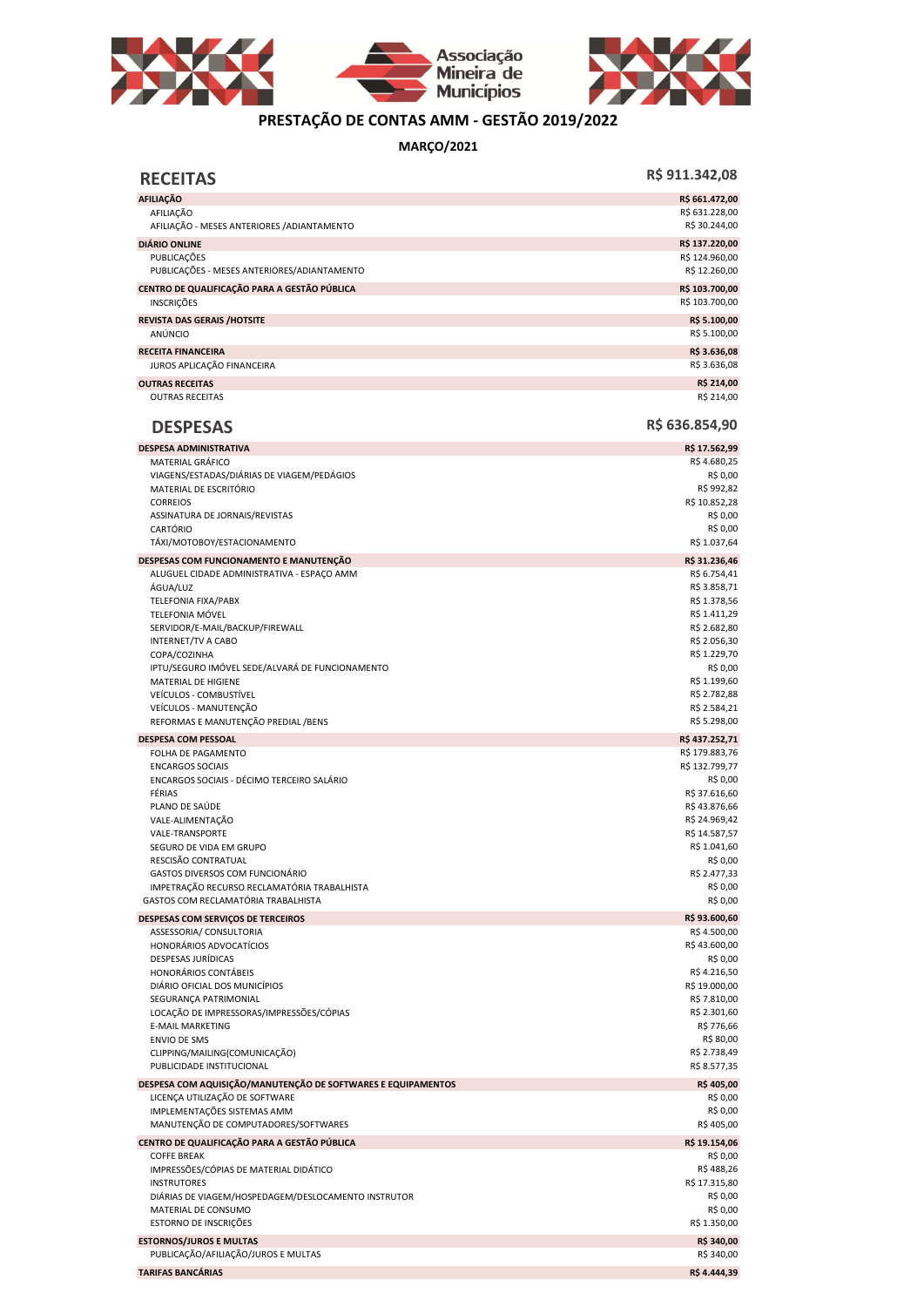



## **PRESTAÇÃO DE CONTAS AMM - GESTÃO 2019/2022**

**MARÇO/2021**

| <b>RECEITAS</b>                                                                                | R\$ 911.342,08                  |
|------------------------------------------------------------------------------------------------|---------------------------------|
| <b>AFILIAÇÃO</b>                                                                               | R\$ 661.472,00                  |
| AFILIAÇÃO<br>AFILIAÇÃO - MESES ANTERIORES / ADIANTAMENTO                                       | R\$ 631.228,00<br>R\$ 30.244,00 |
| <b>DIÁRIO ONLINE</b>                                                                           | R\$ 137.220,00                  |
| PUBLICAÇÕES<br>PUBLICAÇÕES - MESES ANTERIORES/ADIANTAMENTO                                     | R\$ 124.960,00<br>R\$ 12.260,00 |
| CENTRO DE QUALIFICAÇÃO PARA A GESTÃO PÚBLICA                                                   | R\$ 103.700,00                  |
| <b>INSCRICOES</b>                                                                              | R\$ 103.700,00                  |
| <b>REVISTA DAS GERAIS /HOTSITE</b><br>ANÚNCIO                                                  | R\$ 5.100,00<br>R\$ 5.100,00    |
| <b>RECEITA FINANCEIRA</b>                                                                      | R\$ 3.636,08                    |
| JUROS APLICAÇÃO FINANCEIRA                                                                     | R\$ 3.636,08                    |
| <b>OUTRAS RECEITAS</b><br><b>OUTRAS RECEITAS</b>                                               | R\$ 214,00<br>R\$ 214,00        |
| <b>DESPESAS</b>                                                                                | R\$ 636.854,90                  |
| <b>DESPESA ADMINISTRATIVA</b>                                                                  | R\$ 17.562,99                   |
| MATERIAL GRÁFICO                                                                               | R\$4.680,25                     |
| VIAGENS/ESTADAS/DIÁRIAS DE VIAGEM/PEDÁGIOS<br>MATERIAL DE ESCRITÓRIO                           | R\$ 0,00<br>R\$ 992,82          |
| <b>CORREIOS</b>                                                                                | R\$ 10.852,28                   |
| ASSINATURA DE JORNAIS/REVISTAS<br>CARTÓRIO                                                     | R\$ 0,00<br>R\$ 0,00            |
| TÁXI/MOTOBOY/ESTACIONAMENTO                                                                    | R\$ 1.037,64                    |
| DESPESAS COM FUNCIONAMENTO E MANUTENÇÃO                                                        | R\$ 31.236,46                   |
| ALUGUEL CIDADE ADMINISTRATIVA - ESPAÇO AMM                                                     | R\$ 6.754,41                    |
| ÁGUA/LUZ                                                                                       | R\$ 3.858,71<br>R\$ 1.378,56    |
| TELEFONIA FIXA/PABX<br>TELEFONIA MÓVEL                                                         | R\$ 1.411,29                    |
| SERVIDOR/E-MAIL/BACKUP/FIREWALL                                                                | R\$ 2.682,80                    |
| <b>INTERNET/TV A CABO</b>                                                                      | R\$ 2.056,30                    |
| COPA/COZINHA<br>IPTU/SEGURO IMÓVEL SEDE/ALVARÁ DE FUNCIONAMENTO                                | R\$ 1.229,70<br>R\$ 0,00        |
| MATERIAL DE HIGIENE                                                                            | R\$ 1.199,60                    |
| VEÍCULOS - COMBUSTÍVEL                                                                         | R\$ 2.782,88                    |
| VEÍCULOS - MANUTENÇÃO<br>REFORMAS E MANUTENÇÃO PREDIAL / BENS                                  | R\$ 2.584,21<br>R\$ 5.298,00    |
| <b>DESPESA COM PESSOAL</b>                                                                     | R\$437.252,71                   |
| FOLHA DE PAGAMENTO                                                                             | R\$ 179.883,76                  |
| <b>ENCARGOS SOCIAIS</b>                                                                        | R\$ 132.799,77                  |
| ENCARGOS SOCIAIS - DÉCIMO TERCEIRO SALÁRIO                                                     | R\$ 0,00                        |
| FÉRIAS<br>PLANO DE SAÚDE                                                                       | R\$ 37.616,60<br>R\$43.876,66   |
| VALE-ALIMENTAÇÃO                                                                               | R\$ 24.969,42                   |
| VALE-TRANSPORTE                                                                                | R\$ 14.587,57                   |
| SEGURO DE VIDA EM GRUPO                                                                        | R\$ 1.041,60<br>R\$ 0,00        |
| RESCISÃO CONTRATUAL<br>GASTOS DIVERSOS COM FUNCIONÁRIO                                         | R\$ 2.477,33                    |
| IMPETRAÇÃO RECURSO RECLAMATÓRIA TRABALHISTA                                                    | R\$ 0,00                        |
| GASTOS COM RECLAMATÓRIA TRABALHISTA                                                            | R\$ 0,00                        |
| DESPESAS COM SERVIÇOS DE TERCEIROS                                                             | R\$93.600,60                    |
| ASSESSORIA/ CONSULTORIA<br>HONORÁRIOS ADVOCATÍCIOS                                             | R\$4.500,00<br>R\$43.600,00     |
| DESPESAS JURÍDICAS                                                                             | R\$ 0,00                        |
| HONORÁRIOS CONTÁBEIS                                                                           | R\$4.216,50                     |
| DIÁRIO OFICIAL DOS MUNICÍPIOS                                                                  | R\$ 19.000,00                   |
| SEGURANÇA PATRIMONIAL<br>LOCAÇÃO DE IMPRESSORAS/IMPRESSÕES/CÓPIAS                              | R\$ 7.810,00<br>R\$ 2.301,60    |
| <b>E-MAIL MARKETING</b>                                                                        | R\$ 776,66                      |
| <b>ENVIO DE SMS</b>                                                                            | R\$ 80,00                       |
| CLIPPING/MAILING(COMUNICAÇÃO)                                                                  | R\$ 2.738,49                    |
| PUBLICIDADE INSTITUCIONAL                                                                      | R\$ 8.577,35                    |
| DESPESA COM AQUISIÇÃO/MANUTENÇÃO DE SOFTWARES E EQUIPAMENTOS<br>LICENÇA UTILIZAÇÃO DE SOFTWARE | R\$405,00<br>R\$ 0,00           |
| IMPLEMENTAÇÕES SISTEMAS AMM                                                                    | R\$ 0,00                        |
| MANUTENÇÃO DE COMPUTADORES/SOFTWARES                                                           | R\$405,00                       |
| CENTRO DE QUALIFICAÇÃO PARA A GESTÃO PÚBLICA                                                   | R\$ 19.154,06                   |
| <b>COFFE BREAK</b>                                                                             | R\$ 0,00                        |
| IMPRESSÕES/CÓPIAS DE MATERIAL DIDÁTICO<br><b>INSTRUTORES</b>                                   | R\$488,26<br>R\$ 17.315,80      |
| DIÁRIAS DE VIAGEM/HOSPEDAGEM/DESLOCAMENTO INSTRUTOR                                            | R\$ 0,00                        |
| MATERIAL DE CONSUMO                                                                            | R\$ 0,00                        |
| ESTORNO DE INSCRIÇÕES                                                                          | R\$ 1.350,00                    |
| <b>ESTORNOS/JUROS E MULTAS</b>                                                                 | R\$ 340,00                      |
| PUBLICAÇÃO/AFILIAÇÃO/JUROS E MULTAS                                                            | R\$ 340,00                      |
| <b>TARIFAS BANCÁRIAS</b>                                                                       | R\$4.444,39                     |